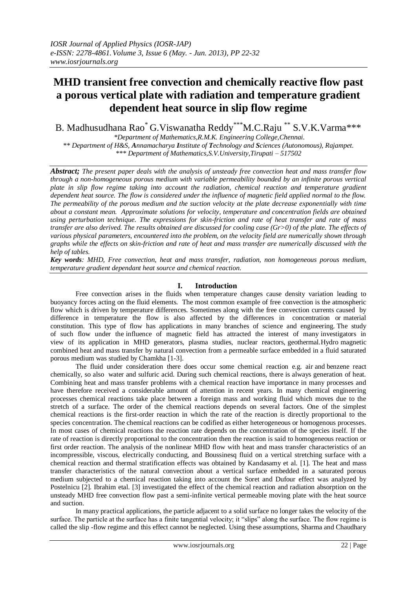# **MHD transient free convection and chemically reactive flow past a porous vertical plate with radiation and temperature gradient dependent heat source in slip flow regime**

B. Madhusudhana Rao\* G.Viswanatha Reddy\*\*\*M.C.Raju \*\* S.V.K.Varma\*\*\* *\*Department of Mathematics,R.M.K. Engineering College,Chennai.*

*\*\* Department of H&S, Annamacharya Institute of Technology and Sciences (Autonomous), Rajampet. \*\*\* Department of Mathematics,S.V.University,Tirupati – 517502*

*Abstract; The present paper deals with the analysis of unsteady free convection heat and mass transfer flow through a non-homogeneous porous medium with variable permeability bounded by an infinite porous vertical plate in slip flow regime taking into account the radiation, chemical reaction and temperature gradient dependent heat source. The flow is considered under the influence of magnetic field applied normal to the flow. The permeability of the porous medium and the suction velocity at the plate decrease exponentially with time about a constant mean. Approximate solutions for velocity, temperature and concentration fields are obtained using perturbation technique. The expressions for skin-friction and rate of heat transfer and rate of mass transfer are also derived. The results obtained are discussed for cooling case (Gr>0) of the plate. The effects of various physical parameters, encountered into the problem, on the velocity field are numerically shown through graphs while the effects on skin-friction and rate of heat and mass transfer are numerically discussed with the help of tables.*

*Key words: MHD, Free convection, heat and mass transfer, radiation, non homogeneous porous medium, temperature gradient dependant heat source and chemical reaction.*

# **I. Introduction**

Free convection arises in the fluids when temperature changes cause density variation leading to buoyancy forces acting on the fluid elements. The most common example of free convection is the atmospheric flow which is driven by temperature differences. Sometimes along with the free convection currents caused by difference in temperature the flow is also affected by the differences in concentration or material constitution. This type of flow has applications in many branches of science and engineering. The study of such flow under the influence of magnetic field has attracted the interest of many investigators in view of its application in MHD generators, plasma studies, nuclear reactors, geothermal.Hydro magnetic combined heat and mass transfer by natural convection from a permeable surface embedded in a fluid saturated porous medium was studied by Chamkha [1-3].

The fluid under consideration there does occur some chemical reaction e.g. air and benzene react chemically, so also water and sulfuric acid. During such chemical reactions, there is always generation of heat. Combining heat and mass transfer problems with a chemical reaction have importance in many processes and have therefore received a considerable amount of attention in recent years. In many chemical engineering processes chemical reactions take place between a foreign mass and working fluid which moves due to the stretch of a surface. The order of the chemical reactions depends on several factors. One of the simplest chemical reactions is the first-order reaction in which the rate of the reaction is directly proportional to the species concentration. The chemical reactions can be codified as either heterogeneous or homogenous processes. In most cases of chemical reactions the reaction rate depends on the concentration of the species itself. If the rate of reaction is directly proportional to the concentration then the reaction is said to homogeneous reaction or first order reaction. The analysis of the nonlinear MHD flow with heat and mass transfer characteristics of an incompressible, viscous, electrically conducting, and Boussinesq fluid on a vertical stretching surface with a chemical reaction and thermal stratification effects was obtained by Kandasamy et al. [1]. The heat and mass transfer characteristics of the natural convection about a vertical surface embedded in a saturated porous medium subjected to a chemical reaction taking into account the Soret and Dufour effect was analyzed by Postelnicu [2]. Ibrahim etal. [3] investigated the effect of the chemical reaction and radiation absorption on the unsteady MHD free convection flow past a semi-infinite vertical permeable moving plate with the heat source and suction.

In many practical applications, the particle adjacent to a solid surface no longer takes the velocity of the surface. The particle at the surface has a finite tangential velocity; it "slips" along the surface. The flow regime is called the slip -flow regime and this effect cannot be neglected. Using these assumptions, Sharma and Chaudhary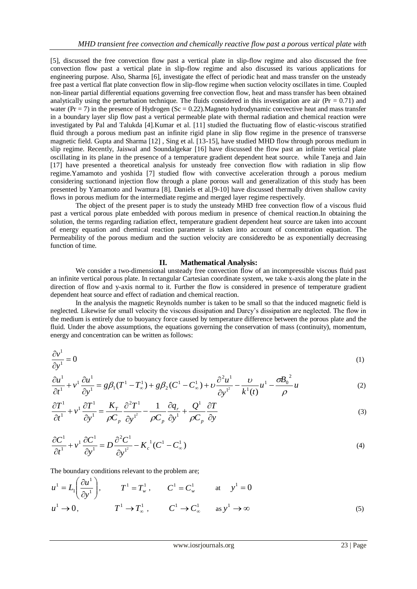[5], discussed the free convection flow past a vertical plate in slip-flow regime and also discussed the free convection flow past a vertical plate in slip-flow regime and also discussed its various applications for engineering purpose. Also, Sharma [6], investigate the effect of periodic heat and mass transfer on the unsteady free past a vertical flat plate convection flow in slip-flow regime when suction velocity oscillates in time. Coupled non-linear partial differential equations governing free convection flow, heat and mass transfer has been obtained analytically using the perturbation technique. The fluids considered in this investigation are air ( $Pr = 0.71$ ) and water ( $Pr = 7$ ) in the presence of Hydrogen ( $Sc = 0.22$ ). Magneto hydrodynamic convective heat and mass transfer in a boundary layer slip flow past a vertical permeable plate with thermal radiation and chemical reaction were investigated by Pal and Talukda [4].Kumar et al. [11] studied the fluctuating flow of elastic-viscous stratified fluid through a porous medium past an infinite rigid plane in slip flow regime in the presence of transverse magnetic field. Gupta and Sharma [12] , Sing et al. [13-15], have studied MHD flow through porous medium in slip regime. Recently, Jaiswal and Soundalgekar [16] have discussed the flow past an infinite vertical plate oscillating in its plane in the presence of a temperature gradient dependent heat source. while Taneja and Jain [17] have presented a theoretical analysis for unsteady free convection flow with radiation in slip flow regime.Yamamoto and yoshida [7] studied flow with convective acceleration through a porous medium considering suctionand injection flow through a plane porous wall and generalization of this study has been presented by Yamamoto and Iwamura [8]. Daniels et al.[9-10] have discussed thermally driven shallow cavity flows in porous medium for the intermediate regime and merged layer regime respectively.

The object of the present paper is to study the unsteady MHD free convection flow of a viscous fluid past a vertical porous plate embedded with porous medium in presence of chemical reaction.In obtaining the solution, the terms regarding radiation effect, temperature gradient dependent heat source are taken into account of energy equation and chemical reaction parameter is taken into account of concentration equation. The Permeability of the porous medium and the suction velocity are consideredto be as exponentially decreasing function of time.

# **II. Mathematical Analysis:**

We consider a two-dimensional unsteady free convection flow of an incompressible viscous fluid past an infinite vertical porous plate. In rectangular Cartesian coordinate system, we take x-axis along the plate in the direction of flow and y-axis normal to it. Further the flow is considered in presence of temperature gradient dependent heat source and effect of radiation and chemical reaction.

In the analysis the magnetic Reynolds number is taken to be small so that the induced magnetic field is neglected. Likewise for small velocity the viscous dissipation and Darcy's dissipation are neglected. The flow in the medium is entirely due to buoyancy force caused by temperature difference between the porous plate and the fluid. Under the above assumptions, the equations governing the conservation of mass (continuity), momentum, energy and concentration can be written as follows:

$$
\frac{\partial v^1}{\partial y^1} = 0 \tag{1}
$$

$$
\frac{\partial u^{1}}{\partial t^{1}} + v^{1} \frac{\partial u^{1}}{\partial y^{1}} = g\beta_{1}(T^{1} - T_{\infty}^{1}) + g\beta_{2}(C^{1} - C_{\infty}^{1}) + v \frac{\partial^{2} u^{1}}{\partial y^{1^{2}}} - \frac{v}{k^{1}(t)} u^{1} - \frac{\sigma B_{0}^{2}}{\rho} u
$$
\n(2)

$$
\frac{\partial T^1}{\partial t^1} + v^1 \frac{\partial T^1}{\partial y^1} = \frac{K_T}{\rho C_p} \frac{\partial^2 T^1}{\partial y^1^2} - \frac{1}{\rho C_p} \frac{\partial q_r}{\partial y^1} + \frac{Q^1}{\rho C_p} \frac{\partial T}{\partial y}
$$
(3)

$$
\frac{\partial C^1}{\partial t^1} + v^1 \frac{\partial C^1}{\partial y^1} = D \frac{\partial^2 C^1}{\partial y^1^2} - K_c^1 (C^1 - C_\infty^1)
$$
\n(4)

The boundary conditions relevant to the problem are;  $\sqrt{2}$ 

$$
u^{1} = L_{1}\left(\frac{\partial u^{1}}{\partial y^{1}}\right), \qquad T^{1} = T_{w}^{1}, \qquad C^{1} = C_{w}^{1} \qquad \text{at} \qquad y^{1} = 0
$$
  

$$
u^{1} \rightarrow 0, \qquad T^{1} \rightarrow T_{\infty}^{1}, \qquad C^{1} \rightarrow C_{\infty}^{1} \qquad \text{as } y^{1} \rightarrow \infty
$$
 (5)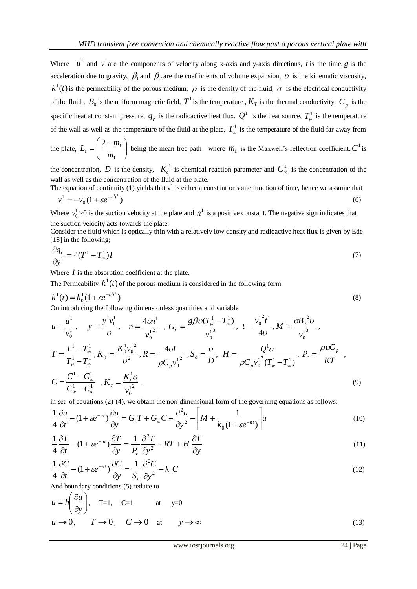Where  $u^1$  and  $v^1$  are the components of velocity along x-axis and y-axis directions, *t* is the time, *g* is the acceleration due to gravity,  $\beta_1$  and  $\beta_2$  are the coefficients of volume expansion,  $\nu$  is the kinematic viscosity,  $k^1(t)$  is the permeability of the porous medium,  $\rho$  is the density of the fluid,  $\sigma$  is the electrical conductivity of the fluid,  $B_0$  is the uniform magnetic field,  $T^1$  is the temperature,  $K_T$  is the thermal conductivity,  $C_p$  is the specific heat at constant pressure,  $q_r$  is the radioactive heat flux,  $Q^1$  is the heat source,  $T_w^1$  is the temperature of the wall as well as the temperature of the fluid at the plate,  $T_{\infty}^1$  is the temperature of the fluid far away from

the plate,  $L_1 = \frac{2 - m_1}{m}$ J  $\setminus$  $\overline{\phantom{a}}$  $\setminus$  $=\left(\frac{2-}{2}\right)$ 1  $n_1 = \frac{2 - m_1}{\sigma}$ 2 *m*  $L_1 = \left(\frac{2 - m_1}{m_1}\right)$  being the mean free path where  $m_1$  is the Maxwell's reflection coefficient,  $C^1$  is

the concentration, D is the density,  $K_c^1$  is chemical reaction parameter and  $C_{\infty}^1$  is the concentration of the wall as well as the concentration of the fluid at the plate.

The equation of continuity (1) yields that  $v^1$  is either a constant or some function of time, hence we assume that  $\frac{1}{0}(1 + \varepsilon e^{-n^2 t^2})$  $\mathbf{0}$  $v^1 = -v_0^1(1 + \varepsilon e^{-n^1 t})$ (6)

Where  $v_0^1$  $v_0^1$  >0 is the suction velocity at the plate and  $n^1$  is a positive constant. The negative sign indicates that the suction velocity acts towards the plate.

Consider the fluid which is optically thin with a relatively low density and radioactive heat flux is given by Ede [18] in the following;

$$
\frac{\partial q_r}{\partial y^1} = 4(T^1 - T^1_{\infty})I
$$
\n(7)

Where  $I$  is the absorption coefficient at the plate.

The Permeability  $k^1(t)$  of the porous medium is considered in the following form

$$
k^{1}(t) = k_{0}^{1}(1 + \varepsilon e^{-n^{1}t^{1}})
$$
\n(8)

On introducing the following dimensionless quantities and variable

$$
u = \frac{u^1}{v_0^1}, \quad y = \frac{y^1 v_0^1}{v}, \quad n = \frac{4vn^1}{v_0^1^2}, \quad G_r = \frac{g\beta v (T_w^1 - T_\infty^1)}{v_0^1^3}, \quad t = \frac{v_0^1^2 t^1}{4v}, \quad M = \frac{\sigma B_0^2 v}{v_0^1^3},
$$
\n
$$
T = \frac{T^1 - T_\infty^1}{T_w^1 - T_\infty^1}, \quad K_0 = \frac{K_0^1 v_0^2}{v^2}, \quad R = \frac{4vl}{\rho C_p v_0^1^2}, \quad S_c = \frac{v}{D}, \quad H = \frac{Q^1 v}{\rho C_p v_0^1^2 (T_w^1 - T_\infty^1)}, \quad P_r = \frac{\rho v C_p}{KT},
$$
\n
$$
C = \frac{C^1 - C_\infty^1}{C_w^1 - C_\infty^1}, \quad K_c = \frac{K_c^1 v}{v_0^1^2}.
$$
\n(9)

in set of equations (2)-(4), we obtain the non-dimensional form of the governing equations as follows:  
\n
$$
\frac{1}{4} \frac{\partial u}{\partial t} - (1 + \varepsilon e^{-nt}) \frac{\partial u}{\partial y} = G_r T + G_m C + \frac{\partial^2 u}{\partial y^2} - \left[ M + \frac{1}{k_0 (1 + \varepsilon e^{-nt})} \right] u
$$
\n(10)

$$
\frac{1}{4}\frac{\partial T}{\partial t} - (1 + \varepsilon e^{-nt})\frac{\partial T}{\partial y} = \frac{1}{P_r}\frac{\partial^2 T}{\partial y^2} - RT + H\frac{\partial T}{\partial y}
$$
\n(11)

$$
\frac{1}{4}\frac{\partial C}{\partial t} - (1 + \varepsilon e^{-nt})\frac{\partial C}{\partial y} = \frac{1}{S_c}\frac{\partial^2 C}{\partial y^2} - k_c C
$$
\n(12)

And boundary conditions (5) reduce to

$$
u = h\left(\frac{\partial u}{\partial y}\right), \quad T=1, \quad C=1 \quad \text{at} \quad y=0
$$
  

$$
u \to 0, \quad T \to 0, \quad C \to 0 \quad \text{at} \quad y \to \infty
$$
 (13)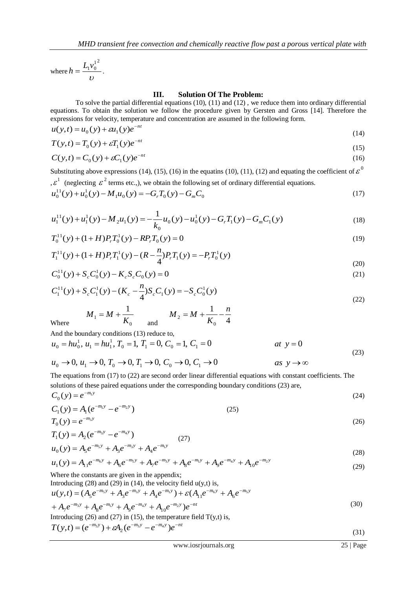where  $h = \frac{1}{v}$  $h = \frac{L_1 v_0^{12}}{2}$ .

## **III. Solution Of The Problem:**

To solve the partial differential equations (10), (11) and (12) , we reduce them into ordinary differential equations. To obtain the solution we follow the procedure given by Gersten and Gross [14]. Therefore the expressions for velocity, temperature and concentration are assumed in the following form.

$$
u(y,t) = u_0(y) + \varepsilon u_1(y)e^{-nt}
$$
\n(14)

$$
T(y,t) = T_0(y) + \varepsilon T_1(y)e^{-nt}
$$
\n<sup>(15)</sup>

$$
C(y,t) = C_0(y) + \varepsilon C_1(y)e^{-nt}
$$
\n<sup>(16)</sup>

Substituting above expressions (14), (15), (16) in the equatins (10), (11), (12) and equating the coefficient of  $\varepsilon^0$ 

, 
$$
\varepsilon^1
$$
 (neglecting  $\varepsilon^2$  terms etc.), we obtain the following set of ordinary differential equations.  
\n $u_0^{11}(y) + u_0^1(y) - M_1 u_0(y) = -G_r T_0(y) - G_m C_0$  (17)

$$
u_1^{11}(y) + u_1^1(y) - M_2 u_1(y) = -\frac{1}{k_0} u_0(y) - u_0^1(y) - G_r T_1(y) - G_m C_1(y)
$$
\n(18)

$$
T_0^{11}(y) + (1+H)P_r T_0^1(y) - R P_r T_0(y) = 0
$$
\n(19)

$$
T_1^{11}(y) + (1+H)P_rT_1^{1}(y) - (R - \frac{n}{4})P_rT_1(y) = -P_rT_0^{1}(y)
$$
\n(20)

$$
C_0^{11}(y) + S_c C_0^1(y) - K_c S_c C_0(y) = 0
$$
\n(21)

$$
C_1^{11}(y) + S_c C_1^{1}(y) - (K_c - \frac{n}{4})S_c C_1(y) = -S_c C_0^{1}(y)
$$
\n(22)

$$
M_1 = M + \frac{1}{K_0}
$$
 and  $M_2 = M + \frac{1}{K_0} - \frac{n}{4}$ 

Where

And the boundary conditions (13) reduce to,

$$
u_0 = hu_0^1, u_1 = hu_1^1, T_0 = 1, T_1 = 0, C_0 = 1, C_1 = 0
$$
 at  $y = 0$  at  $y = 0$  (23)

$$
u_0 \to 0, u_1 \to 0, T_0 \to 0, T_1 \to 0, C_0 \to 0, C_1 \to 0
$$
 as  $y \to \infty$ 

The equations from (17) to (22) are second order linear differential equations with constant coefficients. The solutions of these paired equations under the corresponding boundary conditions (23) are,  $C_0(y) = e^{-m_1 y}$  $=e^{-}$ (24)

$$
C_1(y) = A_1(e^{-m_1y} - e^{-m_2y})
$$
\n
$$
T_0(y) = e^{-m_3y}
$$
\n(25)

$$
T_1(y) = A_2(e^{-m_3y} - e^{-m_4y})
$$
  
\n
$$
u_0(y) = A_5e^{-m_5y} + A_3e^{-m_3y} + A_4e^{-m_1y}
$$
\n(27)

$$
u_0(y) = A_5 e^{-m_5 y} + A_3 e^{-m_5 y} + A_4 e^{-m_1 y}
$$
  
\n
$$
u_1(y) = A_{11} e^{-m_6 y} + A_6 e^{-m_5 y} + A_7 e^{-m_3 y} + A_8 e^{-m_1 y} + A_9 e^{-m_4 y} + A_{10} e^{-m_2 y}
$$
\n(29)

Where the constants are given in the appendix;

Introducing (28) and (29) in (14), the velocity field u(y,t) is,  
\n
$$
u(y,t) = (A_5 e^{-m_5 y} + A_3 e^{-m_3 y} + A_4 e^{-m_1 y}) + \varepsilon (A_{11} e^{-m_6 y} + A_6 e^{-m_5 y} + A_7 e^{-m_5 y} + A_8 e^{-m_1 y} + A_9 e^{-m_1 y} + A_{10} e^{-m_2 y})e^{-nt}
$$
\n(30)

Introducing (26) and (27) in (15), the temperature field  $T(y,t)$  is,

$$
T(y,t) = (e^{-m_3y}) + \varepsilon A_2 (e^{-m_3y} - e^{-m_4y})e^{-nt}
$$
\n(31)

(31)

(26)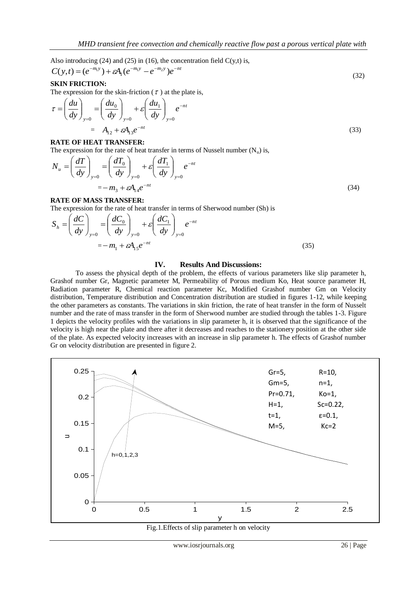Also introducing (24) and (25) in (16), the concentration field  $C(y,t)$  is,

$$
C(y,t) = (e^{-m_1 y}) + \varepsilon A_1 (e^{-m_1 y} - e^{-m_2 y}) e^{-nt}
$$
\n(32)

## **SKIN FRICTION:**

The expression for the skin-friction ( $\tau$ ) at the plate is,

$$
\tau = \left(\frac{du}{dy}\right)_{y=0} = \left(\frac{du_0}{dy}\right)_{y=0} + \varepsilon \left(\frac{du_1}{dy}\right)_{y=0} e^{-nt} \n= A_{12} + \varepsilon A_{13} e^{-nt}
$$
\n(33)

## **RATE OF HEAT TRANSFER:**

The expression for the rate of heat transfer in terms of Nusselt number  $(N_n)$  is,

$$
N_{u} = \left(\frac{dT}{dy}\right)_{y=0} = \left(\frac{dT_{0}}{dy}\right)_{y=0} + \varepsilon \left(\frac{dT_{1}}{dy}\right)_{y=0} e^{-nt}
$$
  
=  $-m_{3} + \varepsilon A_{14} e^{-nt}$  (34)

### **RATE OF MASS TRANSFER:**

 $\Delta$ 

The expression for the rate of heat transfer in terms of Sherwood number (Sh) is

$$
S_h = \left(\frac{dC}{dy}\right)_{y=0} = \left(\frac{dC_0}{dy}\right)_{y=0} + \varepsilon \left(\frac{dC_1}{dy}\right)_{y=0} e^{-nt} = -m_1 + \varepsilon A_1 \varepsilon e^{-nt}
$$
\n(35)

## **IV. Results And Discussions:**

To assess the physical depth of the problem, the effects of various parameters like slip parameter h, Grashof number Gr, Magnetic parameter M, Permeability of Porous medium Ko, Heat source parameter H, Radiation parameter R, Chemical reaction parameter Kc, Modified Grashof number Gm on Velocity distribution, Temperature distribution and Concentration distribution are studied in figures 1-12, while keeping the other parameters as constants. The variations in skin friction, the rate of heat transfer in the form of Nusselt number and the rate of mass transfer in the form of Sherwood number are studied through the tables 1-3. Figure 1 depicts the velocity profiles with the variations in slip parameter h, it is observed that the significance of the velocity is high near the plate and there after it decreases and reaches to the stationery position at the other side of the plate. As expected velocity increases with an increase in slip parameter h. The effects of Grashof number Gr on velocity distribution are presented in figure 2.



Fig.1.Effects of slip parameter h on velocity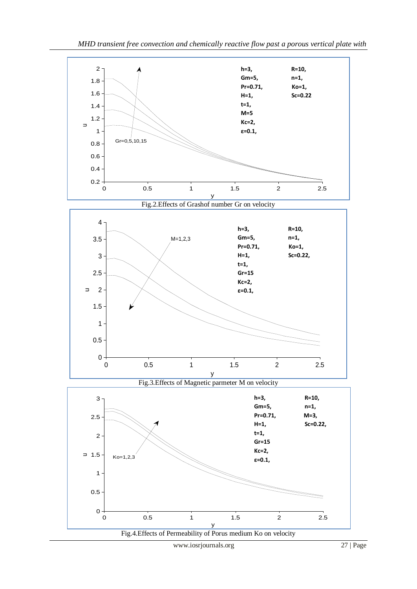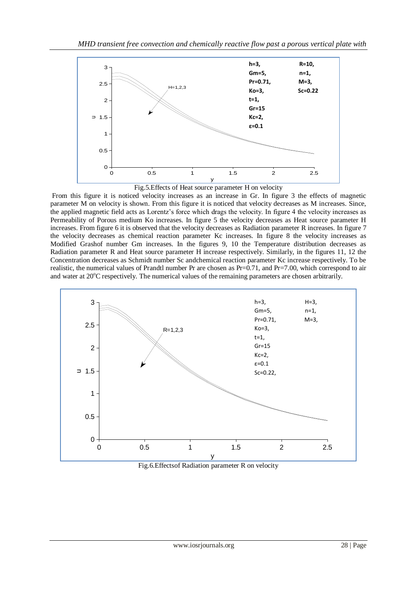



From this figure it is noticed velocity increases as an increase in Gr. In figure 3 the effects of magnetic parameter M on velocity is shown. From this figure it is noticed that velocity decreases as M increases. Since, the applied magnetic field acts as Lorentz's force which drags the velocity. In figure 4 the velocity increases as Permeability of Porous medium Ko increases. In figure 5 the velocity decreases as Heat source parameter H increases. From figure 6 it is observed that the velocity decreases as Radiation parameter R increases. In figure 7 the velocity decreases as chemical reaction parameter Kc increases. In figure 8 the velocity increases as Modified Grashof number Gm increases. In the figures 9, 10 the Temperature distribution decreases as Radiation parameter R and Heat source parameter H increase respectively. Similarly, in the figures 11, 12 the Concentration decreases as Schmidt number Sc andchemical reaction parameter Kc increase respectively. To be realistic, the numerical values of Prandtl number Pr are chosen as Pr=0.71, and Pr=7.00, which correspond to air and water at 20<sup>o</sup>C respectively. The numerical values of the remaining parameters are chosen arbitrarily.



Fig.6.Effectsof Radiation parameter R on velocity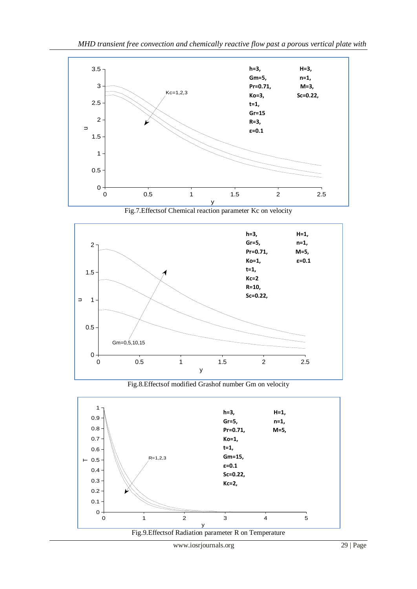





Fig.8.Effectsof modified Grashof number Gm on velocity



www.iosrjournals.org 29 | Page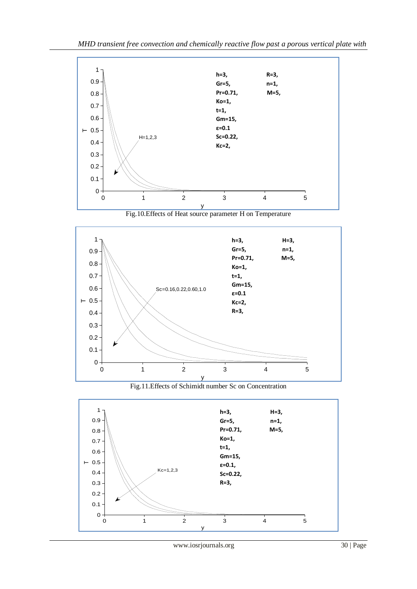

Fig.10.Effects of Heat source parameter H on Temperature



Fig.11.Effects of Schimidt number Sc on Concentration

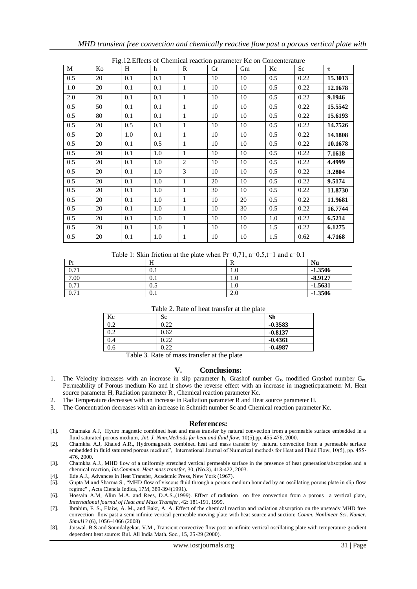| TTg.12. Effects of Chemical Feaction parameter ise on Concenterature |    |                  |     |              |    |    |                  |      |         |
|----------------------------------------------------------------------|----|------------------|-----|--------------|----|----|------------------|------|---------|
| M                                                                    | Ko | H                | h   | $\mathbb{R}$ | Gr | Gm | Kc               | Sc   | τ       |
| 0.5                                                                  | 20 | 0.1              | 0.1 | $\mathbf{1}$ | 10 | 10 | 0.5              | 0.22 | 15.3013 |
| 1.0                                                                  | 20 | 0.1              | 0.1 | $\mathbf{1}$ | 10 | 10 | 0.5              | 0.22 | 12.1678 |
| 2.0                                                                  | 20 | 0.1              | 0.1 | $\mathbf{1}$ | 10 | 10 | 0.5              | 0.22 | 9.1946  |
| 0.5                                                                  | 50 | 0.1              | 0.1 | $\mathbf{1}$ | 10 | 10 | 0.5              | 0.22 | 15.5542 |
| 0.5                                                                  | 80 | 0.1              | 0.1 | $\mathbf{1}$ | 10 | 10 | 0.5              | 0.22 | 15.6193 |
| 0.5                                                                  | 20 | 0.5              | 0.1 | $\mathbf{1}$ | 10 | 10 | 0.5              | 0.22 | 14.7526 |
| 0.5                                                                  | 20 | 1.0              | 0.1 | $\mathbf{1}$ | 10 | 10 | 0.5              | 0.22 | 14.1808 |
| 0.5                                                                  | 20 | 0.1              | 0.5 | $\mathbf{1}$ | 10 | 10 | 0.5              | 0.22 | 10.1678 |
| 0.5                                                                  | 20 | $\overline{0.1}$ | 1.0 | $\mathbf{1}$ | 10 | 10 | $\overline{0.5}$ | 0.22 | 7.1618  |
| 0.5                                                                  | 20 | 0.1              | 1.0 | 2            | 10 | 10 | 0.5              | 0.22 | 4.4999  |
| 0.5                                                                  | 20 | 0.1              | 1.0 | 3            | 10 | 10 | 0.5              | 0.22 | 3.2804  |
| 0.5                                                                  | 20 | 0.1              | 1.0 | $\mathbf{1}$ | 20 | 10 | 0.5              | 0.22 | 9.5174  |
| 0.5                                                                  | 20 | 0.1              | 1.0 | $\mathbf{1}$ | 30 | 10 | 0.5              | 0.22 | 11.8730 |
| 0.5                                                                  | 20 | 0.1              | 1.0 | $\mathbf{1}$ | 10 | 20 | 0.5              | 0.22 | 11.9681 |
| 0.5                                                                  | 20 | 0.1              | 1.0 | 1            | 10 | 30 | 0.5              | 0.22 | 16.7744 |
| 0.5                                                                  | 20 | 0.1              | 1.0 | $\mathbf{1}$ | 10 | 10 | 1.0              | 0.22 | 6.5214  |
| 0.5                                                                  | 20 | 0.1              | 1.0 | 1            | 10 | 10 | 1.5              | 0.22 | 6.1275  |
| 0.5                                                                  | 20 | 0.1              | 1.0 | $\mathbf{1}$ | 10 | 10 | 1.5              | 0.62 | 4.7168  |

 $\overline{E}$  = 12. Effects of Chemical reaction parameter  $Kc$  on Concenterature

Table 1: Skin friction at the plate when Pr=0,71, n=0.5,t=1 and  $\varepsilon$ =0.1

| Pr   | H   | v       | <b>Nu</b> |
|------|-----|---------|-----------|
| 0.71 | 0.1 | $1.0\,$ | $-1.3506$ |
| 7.00 | O.I | 1.0     | $-8.9127$ |
| 0.71 | 0.5 | $1.0\,$ | $-1.5631$ |
| 0.71 | 0.1 | 2.0     | $-1.3506$ |

| Table 2. Rate of heat transfer at the plate |  |
|---------------------------------------------|--|
|---------------------------------------------|--|

| Kc  | Sc   | Sh        |
|-----|------|-----------|
| 0.2 | 0.22 | $-0.3583$ |
| 0.2 | 0.62 | $-0.8137$ |
| 0.4 | 0.22 | $-0.4361$ |
| 0.6 | 0.22 | $-0.4987$ |

Table 3. Rate of mass transfer at the plate

#### **V. Conclusions:**

- 1. The Velocity increases with an increase in slip parameter h, Grashof number  $G_r$ , modified Grashof number  $G_{m}$ , Permeability of Porous medium Ko and it shows the reverse effect with an increase in magneticparameter M, Heat source parameter H, Radiation parameter R , Chemical reaction parameter Kc.
- 2. The Temperature decreases with an increase in Radiation parameter R and Heat source parameter H.
- 3. The Concentration decreases with an increase in Schmidt number Sc and Chemical reaction parameter Kc.

#### **References:**

- [1]. Chamaka A.J, Hydro magnetic combined heat and mass transfer by natural convection from a permeable surface embedded in a fluid saturated porous medium, ,*Int. J. Num.Methods for heat and fluid flow*, 10(5),pp. 455-476, 2000.
- [2]. Chamkha A.J, Khaled A.R., Hydromagnetic combined heat and mass transfer by natural convection from a permeable surface embedded in fluid saturated porous medium", International Journal of Numerical methods for Heat and Fluid Flow, 10(5), pp. 455- 476, 2000.
- [3]. Chamkha A.J., MHD flow of a uniformly stretched vertical permeable surface in the presence of heat generation/absorption and a chemical reaction, *Int.Commun. Heat mass transfer*, 30, (No.3), 413-422, 2003.

[4]. Ede A.J., Advances in Heat Transfer, Academic Press, New York (1967).

- [5]. Gupta M and Sharma S., "MHD flow of viscous fluid through a porous medium bounded by an oscillating porous plate in slip flow regime" , Acta Ciencia Indica, 17M, 389-394(1991).
- [6]. Hossain A.M, Alim M.A. and Rees, D.A.S.,(1999). Effect of radiation on free convection from a porous a vertical plate, *International journal of Heat and Mass Transfer*, 42: 181-191, 1999.
- [7]. Ibrahim, F. S., Elaiw, A. M., and Bakr, A. A. Effect of the chemical reaction and radiation absorption on the unsteady MHD free convection flow past a semi infinite vertical permeable moving plate with heat source and suction: *Comm. Nonlinear Sci. Numer. Simul13* (6), 1056–1066 (2008)
- [8]. Jaiswal. B.S and Soundalgekar. V.M., Transient convective flow past an infinite vertical oscillating plate with temperature gradient dependent heat source: Bul. All India Math. Soc., 15, 25-29 (2000).